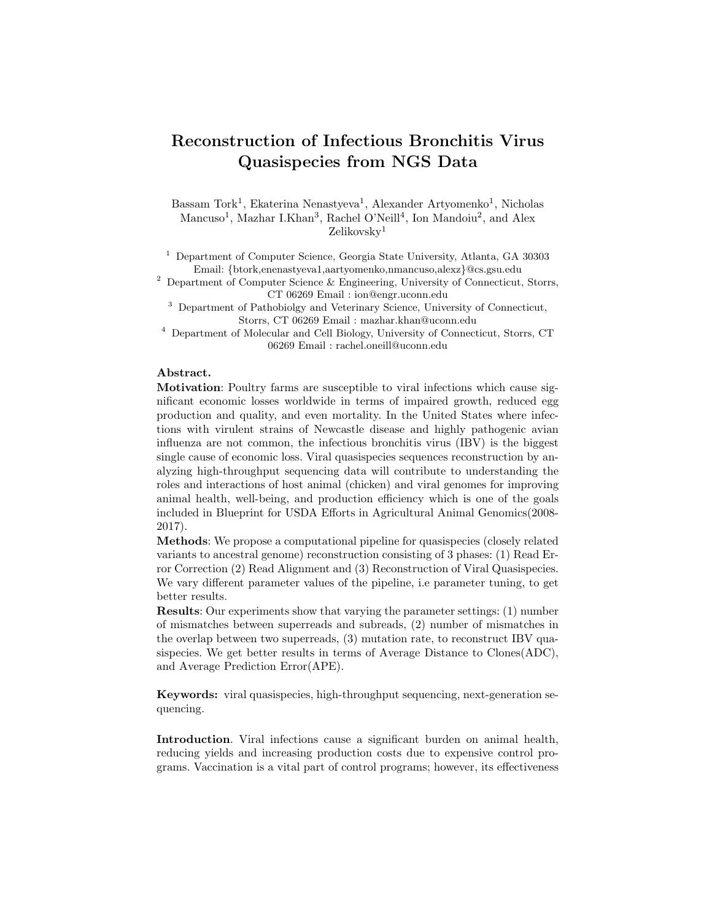## Reconstruction of Infectious Bronchitis Virus Quasispecies from NGS Data

Bassam Tork<sup>1</sup>, Ekaterina Nenastyeva<sup>1</sup>, Alexander Artyomenko<sup>1</sup>, Nicholas Mancuso<sup>1</sup>, Mazhar I.Khan<sup>3</sup>, Rachel O'Neill<sup>4</sup>, Ion Mandoiu<sup>2</sup>, and Alex Zelikovsky<sup>1</sup>

<sup>1</sup> Department of Computer Science, Georgia State University, Atlanta, GA 30303 Email: {btork,enenastyeva1,aartyomenko,nmancuso,alexz}@cs.gsu.edu

<sup>2</sup> Department of Computer Science & Engineering, University of Connecticut, Storrs, CT 06269 Email : ion@engr.uconn.edu

<sup>3</sup> Department of Pathobiolgy and Veterinary Science, University of Connecticut, Storrs, CT 06269 Email : mazhar.khan@uconn.edu

<sup>4</sup> Department of Molecular and Cell Biology, University of Connecticut, Storrs, CT 06269 Email : rachel.oneill@uconn.edu

## Abstract.

Motivation: Poultry farms are susceptible to viral infections which cause significant economic losses worldwide in terms of impaired growth, reduced egg production and quality, and even mortality. In the United States where infections with virulent strains of Newcastle disease and highly pathogenic avian influenza are not common, the infectious bronchitis virus (IBV) is the biggest single cause of economic loss. Viral quasispecies sequences reconstruction by analyzing high-throughput sequencing data will contribute to understanding the roles and interactions of host animal (chicken) and viral genomes for improving animal health, well-being, and production efficiency which is one of the goals included in Blueprint for USDA Efforts in Agricultural Animal Genomics(2008- 2017).

Methods: We propose a computational pipeline for quasispecies (closely related variants to ancestral genome) reconstruction consisting of 3 phases: (1) Read Error Correction (2) Read Alignment and (3) Reconstruction of Viral Quasispecies. We vary different parameter values of the pipeline, i.e parameter tuning, to get better results.

Results: Our experiments show that varying the parameter settings: (1) number of mismatches between superreads and subreads, (2) number of mismatches in the overlap between two superreads, (3) mutation rate, to reconstruct IBV quasispecies. We get better results in terms of Average Distance to Clones(ADC), and Average Prediction Error(APE).

Keywords: viral quasispecies, high-throughput sequencing, next-generation sequencing.

Introduction. Viral infections cause a significant burden on animal health, reducing yields and increasing production costs due to expensive control programs. Vaccination is a vital part of control programs; however, its effectiveness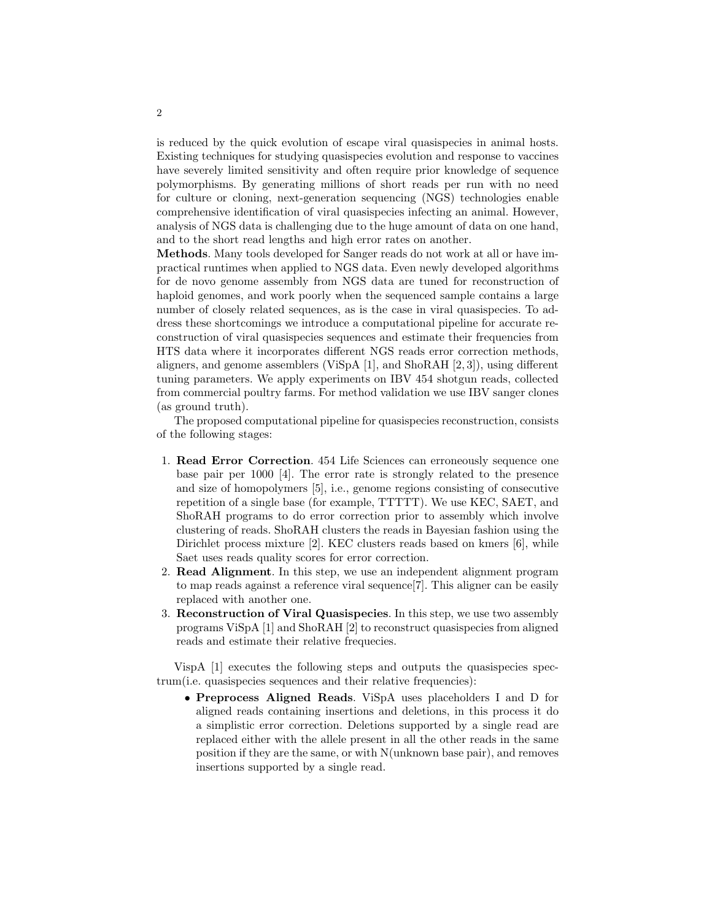is reduced by the quick evolution of escape viral quasispecies in animal hosts. Existing techniques for studying quasispecies evolution and response to vaccines have severely limited sensitivity and often require prior knowledge of sequence polymorphisms. By generating millions of short reads per run with no need for culture or cloning, next-generation sequencing (NGS) technologies enable comprehensive identification of viral quasispecies infecting an animal. However, analysis of NGS data is challenging due to the huge amount of data on one hand, and to the short read lengths and high error rates on another.

Methods. Many tools developed for Sanger reads do not work at all or have impractical runtimes when applied to NGS data. Even newly developed algorithms for de novo genome assembly from NGS data are tuned for reconstruction of haploid genomes, and work poorly when the sequenced sample contains a large number of closely related sequences, as is the case in viral quasispecies. To address these shortcomings we introduce a computational pipeline for accurate reconstruction of viral quasispecies sequences and estimate their frequencies from HTS data where it incorporates different NGS reads error correction methods, aligners, and genome assemblers (ViSpA [1], and ShoRAH [2, 3]), using different tuning parameters. We apply experiments on IBV 454 shotgun reads, collected from commercial poultry farms. For method validation we use IBV sanger clones (as ground truth).

The proposed computational pipeline for quasispecies reconstruction, consists of the following stages:

- 1. Read Error Correction. 454 Life Sciences can erroneously sequence one base pair per 1000 [4]. The error rate is strongly related to the presence and size of homopolymers [5], i.e., genome regions consisting of consecutive repetition of a single base (for example, TTTTT). We use KEC, SAET, and ShoRAH programs to do error correction prior to assembly which involve clustering of reads. ShoRAH clusters the reads in Bayesian fashion using the Dirichlet process mixture [2]. KEC clusters reads based on kmers [6], while Saet uses reads quality scores for error correction.
- 2. Read Alignment. In this step, we use an independent alignment program to map reads against a reference viral sequence[7]. This aligner can be easily replaced with another one.
- 3. Reconstruction of Viral Quasispecies. In this step, we use two assembly programs ViSpA [1] and ShoRAH [2] to reconstruct quasispecies from aligned reads and estimate their relative frequecies.

VispA [1] executes the following steps and outputs the quasispecies spectrum(i.e. quasispecies sequences and their relative frequencies):

• Preprocess Aligned Reads. ViSpA uses placeholders I and D for aligned reads containing insertions and deletions, in this process it do a simplistic error correction. Deletions supported by a single read are replaced either with the allele present in all the other reads in the same position if they are the same, or with N(unknown base pair), and removes insertions supported by a single read.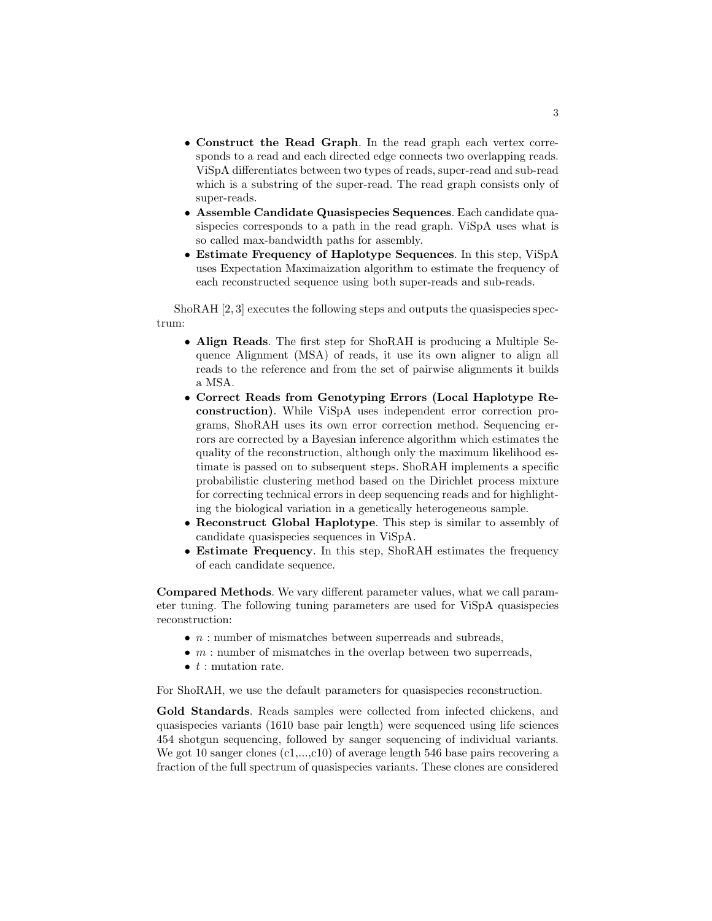- Construct the Read Graph. In the read graph each vertex corresponds to a read and each directed edge connects two overlapping reads. ViSpA differentiates between two types of reads, super-read and sub-read which is a substring of the super-read. The read graph consists only of super-reads.
- Assemble Candidate Quasispecies Sequences. Each candidate quasispecies corresponds to a path in the read graph. ViSpA uses what is so called max-bandwidth paths for assembly.
- Estimate Frequency of Haplotype Sequences. In this step, ViSpA uses Expectation Maximaization algorithm to estimate the frequency of each reconstructed sequence using both super-reads and sub-reads.

ShoRAH [2, 3] executes the following steps and outputs the quasispecies spectrum:

- Align Reads. The first step for ShoRAH is producing a Multiple Sequence Alignment (MSA) of reads, it use its own aligner to align all reads to the reference and from the set of pairwise alignments it builds a MSA.
- Correct Reads from Genotyping Errors (Local Haplotype Reconstruction). While ViSpA uses independent error correction programs, ShoRAH uses its own error correction method. Sequencing errors are corrected by a Bayesian inference algorithm which estimates the quality of the reconstruction, although only the maximum likelihood estimate is passed on to subsequent steps. ShoRAH implements a specific probabilistic clustering method based on the Dirichlet process mixture for correcting technical errors in deep sequencing reads and for highlighting the biological variation in a genetically heterogeneous sample.
- Reconstruct Global Haplotype. This step is similar to assembly of candidate quasispecies sequences in ViSpA.
- Estimate Frequency. In this step, ShoRAH estimates the frequency of each candidate sequence.

Compared Methods. We vary different parameter values, what we call parameter tuning. The following tuning parameters are used for ViSpA quasispecies reconstruction:

- $\bullet$  *n* : number of mismatches between superreads and subreads,
- $\bullet$  *m* : number of mismatches in the overlap between two superreads,
- $\bullet$  t : mutation rate.

For ShoRAH, we use the default parameters for quasispecies reconstruction.

Gold Standards. Reads samples were collected from infected chickens, and quasispecies variants (1610 base pair length) were sequenced using life sciences 454 shotgun sequencing, followed by sanger sequencing of individual variants. We got 10 sanger clones  $(c_1,...,c_{10})$  of average length 546 base pairs recovering a fraction of the full spectrum of quasispecies variants. These clones are considered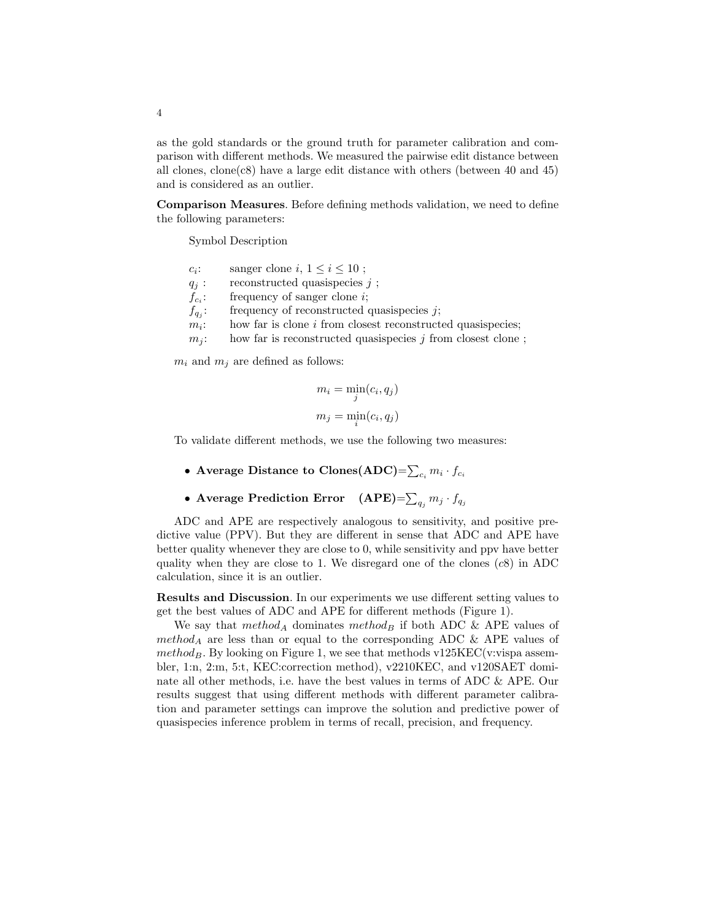as the gold standards or the ground truth for parameter calibration and comparison with different methods. We measured the pairwise edit distance between all clones,  $\text{clone}(c8)$  have a large edit distance with others (between 40 and 45) and is considered as an outlier.

Comparison Measures. Before defining methods validation, we need to define the following parameters:

Symbol Description

| $c_i$ :                                 | sanger clone i, $1 \leq i \leq 10$ ;                          |
|-----------------------------------------|---------------------------------------------------------------|
| $q_j$ :                                 | reconstructed quasispecies $j$ ;                              |
| $f_{c_i}$ :                             | frequency of sanger clone $i$ ;                               |
| $f_{q_i}$ :                             | frequency of reconstructed quasispecies $j$ ;                 |
| $m_i$ :                                 | how far is clone $i$ from closest reconstructed quasispecies; |
| $m_i$ :                                 | how far is reconstructed quasispecies $j$ from closest clone; |
| $m_i$ and $m_j$ are defined as follows: |                                                               |

 $m_i = \min_j(c_i, q_j)$  $m_j = \min_i(c_i, q_j)$ 

To validate different methods, we use the following two measures:

- $\bullet$  Average Distance to Clones(ADC)= $\sum_{c_i} m_i \cdot f_{c_i}$
- Average Prediction Error  $\quad \text{(APE)}{=}\sum_{q_j} m_j \cdot f_{q_j}$

ADC and APE are respectively analogous to sensitivity, and positive predictive value (PPV). But they are different in sense that ADC and APE have better quality whenever they are close to 0, while sensitivity and ppv have better quality when they are close to 1. We disregard one of the clones  $(c8)$  in ADC calculation, since it is an outlier.

Results and Discussion. In our experiments we use different setting values to get the best values of ADC and APE for different methods (Figure 1).

We say that  $method_A$  dominates method<sub>B</sub> if both ADC & APE values of  $method_A$  are less than or equal to the corresponding ADC & APE values of  $method_B$ . By looking on Figure 1, we see that methods v125KEC(v:vispa assembler, 1:n, 2:m, 5:t, KEC:correction method), v2210KEC, and v120SAET dominate all other methods, i.e. have the best values in terms of ADC & APE. Our results suggest that using different methods with different parameter calibration and parameter settings can improve the solution and predictive power of quasispecies inference problem in terms of recall, precision, and frequency.

4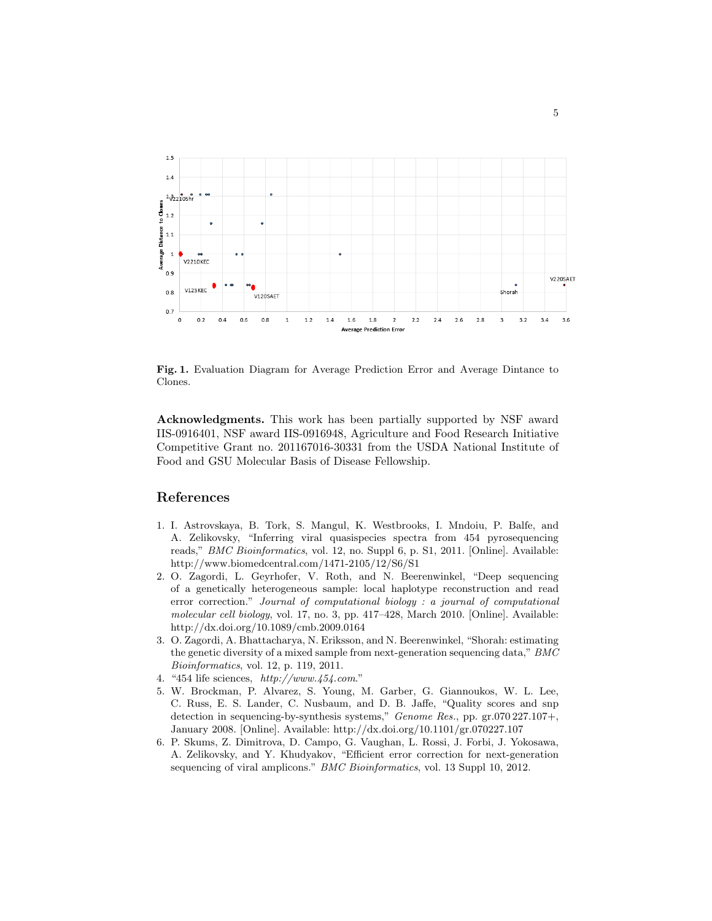

Fig. 1. Evaluation Diagram for Average Prediction Error and Average Dintance to Clones.

Acknowledgments. This work has been partially supported by NSF award IIS-0916401, NSF award IIS-0916948, Agriculture and Food Research Initiative Competitive Grant no. 201167016-30331 from the USDA National Institute of Food and GSU Molecular Basis of Disease Fellowship.

## References

- 1. I. Astrovskaya, B. Tork, S. Mangul, K. Westbrooks, I. Mndoiu, P. Balfe, and A. Zelikovsky, "Inferring viral quasispecies spectra from 454 pyrosequencing reads," BMC Bioinformatics, vol. 12, no. Suppl 6, p. S1, 2011. [Online]. Available: http://www.biomedcentral.com/1471-2105/12/S6/S1
- 2. O. Zagordi, L. Geyrhofer, V. Roth, and N. Beerenwinkel, "Deep sequencing of a genetically heterogeneous sample: local haplotype reconstruction and read error correction." Journal of computational biology : a journal of computational molecular cell biology, vol. 17, no. 3, pp. 417–428, March 2010. [Online]. Available: http://dx.doi.org/10.1089/cmb.2009.0164
- 3. O. Zagordi, A. Bhattacharya, N. Eriksson, and N. Beerenwinkel, "Shorah: estimating the genetic diversity of a mixed sample from next-generation sequencing data," BMC Bioinformatics, vol. 12, p. 119, 2011.
- 4. "454 life sciences, http://www.454.com."
- 5. W. Brockman, P. Alvarez, S. Young, M. Garber, G. Giannoukos, W. L. Lee, C. Russ, E. S. Lander, C. Nusbaum, and D. B. Jaffe, "Quality scores and snp detection in sequencing-by-synthesis systems," Genome Res., pp. gr.070 227.107+, January 2008. [Online]. Available: http://dx.doi.org/10.1101/gr.070227.107
- 6. P. Skums, Z. Dimitrova, D. Campo, G. Vaughan, L. Rossi, J. Forbi, J. Yokosawa, A. Zelikovsky, and Y. Khudyakov, "Efficient error correction for next-generation sequencing of viral amplicons." BMC Bioinformatics, vol. 13 Suppl 10, 2012.